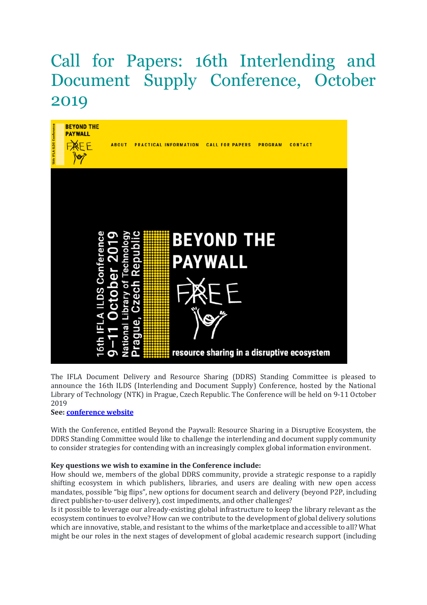## Call for Papers: 16th Interlending and Document Supply Conference, October 2019



The IFLA Document Delivery and Resource Sharing (DDRS) Standing Committee is pleased to announce the 16th ILDS (Interlending and Document Supply) Conference, hosted by the National Library of Technology (NTK) in Prague, Czech Republic. The Conference will be held on 9-11 October 2019

## See: conference website

With the Conference, entitled Beyond the Paywall: Resource Sharing in a Disruptive Ecosystem, the DDRS Standing Committee would like to challenge the interlending and document supply community to consider strategies for contending with an increasingly complex global information environment.

## Key questions we wish to examine in the Conference include:

How should we, members of the global DDRS community, provide a strategic response to a rapidly shifting ecosystem in which publishers, libraries, and users are dealing with new open access mandates, possible "big flips", new options for document search and delivery (beyond P2P, including direct publisher-to-user delivery), cost impediments, and other challenges?

Is it possible to leverage our already-existing global infrastructure to keep the library relevant as the ecosystem continues to evolve? How can we contribute to the development of global delivery solutions which are innovative, stable, and resistant to the whims of the marketplace and accessible to all? What might be our roles in the next stages of development of global academic research support (including